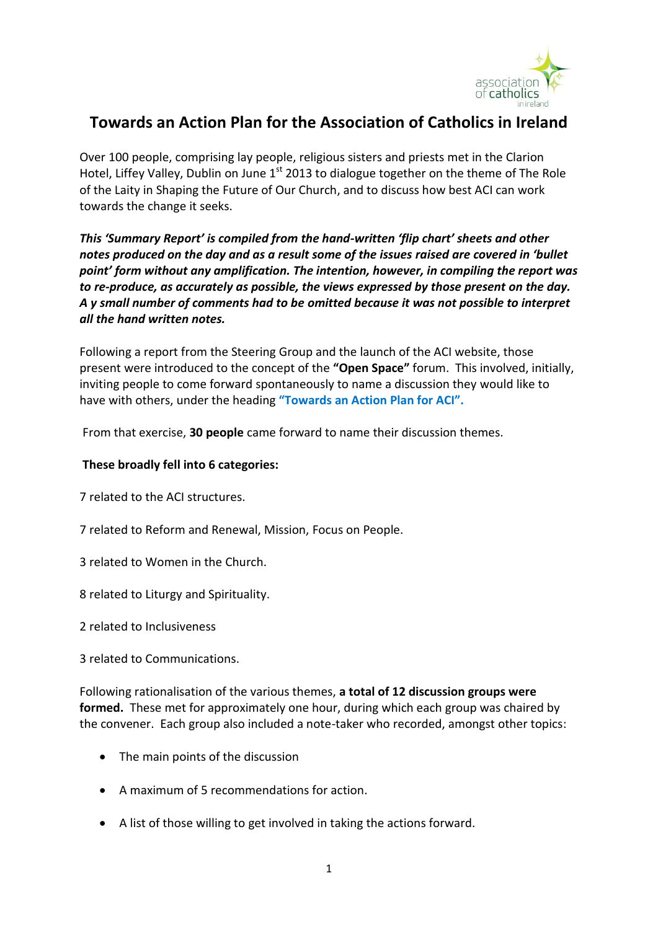

# **Towards an Action Plan for the Association of Catholics in Ireland**

Over 100 people, comprising lay people, religious sisters and priests met in the Clarion Hotel, Liffey Valley, Dublin on June  $1<sup>st</sup>$  2013 to dialogue together on the theme of The Role of the Laity in Shaping the Future of Our Church, and to discuss how best ACI can work towards the change it seeks.

*This 'Summary Report' is compiled from the hand-written 'flip chart' sheets and other notes produced on the day and as a result some of the issues raised are covered in 'bullet point' form without any amplification. The intention, however, in compiling the report was to re-produce, as accurately as possible, the views expressed by those present on the day. A y small number of comments had to be omitted because it was not possible to interpret all the hand written notes.* 

Following a report from the Steering Group and the launch of the ACI website, those present were introduced to the concept of the **"Open Space"** forum. This involved, initially, inviting people to come forward spontaneously to name a discussion they would like to have with others, under the heading **"Towards an Action Plan for ACI".**

From that exercise, **30 people** came forward to name their discussion themes.

# **These broadly fell into 6 categories:**

7 related to the ACI structures.

- 7 related to Reform and Renewal, Mission, Focus on People.
- 3 related to Women in the Church.
- 8 related to Liturgy and Spirituality.
- 2 related to Inclusiveness

3 related to Communications.

Following rationalisation of the various themes, **a total of 12 discussion groups were formed.** These met for approximately one hour, during which each group was chaired by the convener. Each group also included a note-taker who recorded, amongst other topics:

- The main points of the discussion
- A maximum of 5 recommendations for action.
- A list of those willing to get involved in taking the actions forward.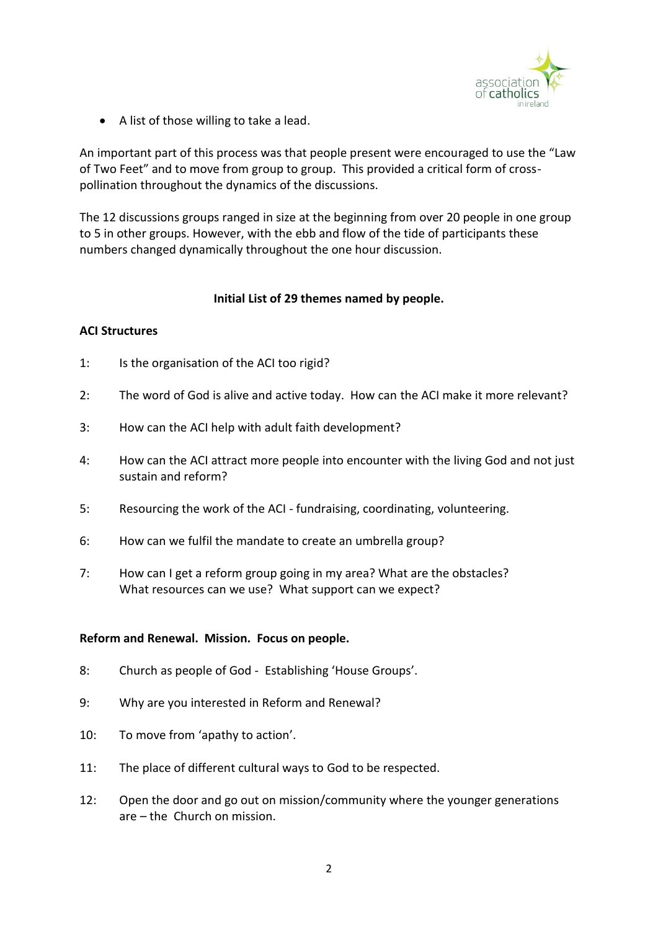

A list of those willing to take a lead.

An important part of this process was that people present were encouraged to use the "Law of Two Feet" and to move from group to group. This provided a critical form of crosspollination throughout the dynamics of the discussions.

The 12 discussions groups ranged in size at the beginning from over 20 people in one group to 5 in other groups. However, with the ebb and flow of the tide of participants these numbers changed dynamically throughout the one hour discussion.

# **Initial List of 29 themes named by people.**

# **ACI Structures**

- 1: Is the organisation of the ACI too rigid?
- 2: The word of God is alive and active today. How can the ACI make it more relevant?
- 3: How can the ACI help with adult faith development?
- 4: How can the ACI attract more people into encounter with the living God and not just sustain and reform?
- 5: Resourcing the work of the ACI fundraising, coordinating, volunteering.
- 6: How can we fulfil the mandate to create an umbrella group?
- 7: How can I get a reform group going in my area? What are the obstacles? What resources can we use? What support can we expect?

### **Reform and Renewal. Mission. Focus on people.**

- 8: Church as people of God Establishing 'House Groups'.
- 9: Why are you interested in Reform and Renewal?
- 10: To move from 'apathy to action'.
- 11: The place of different cultural ways to God to be respected.
- 12: Open the door and go out on mission/community where the younger generations are – the Church on mission.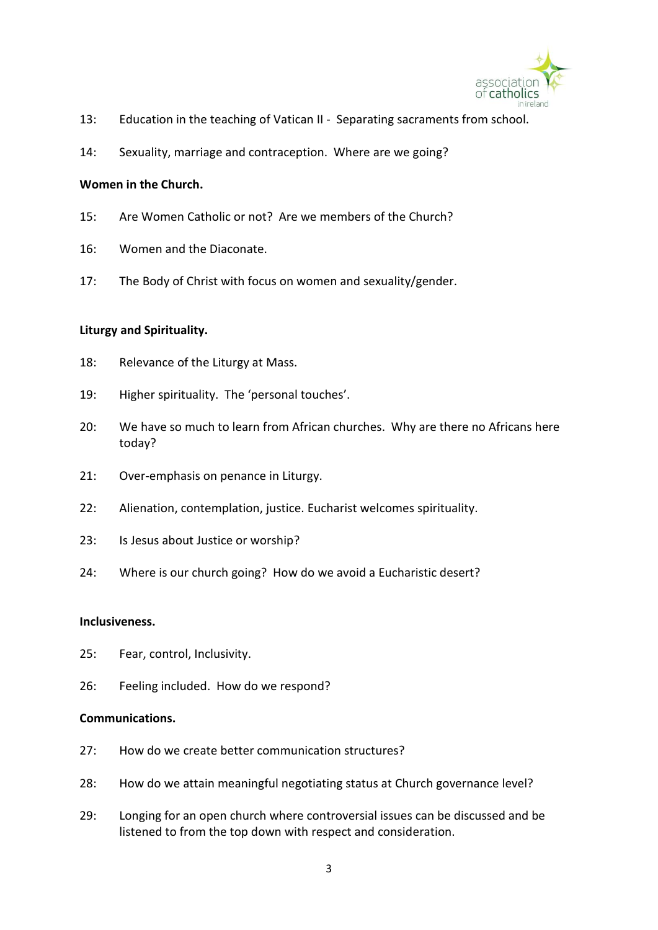

- 13: Education in the teaching of Vatican II Separating sacraments from school.
- 14: Sexuality, marriage and contraception. Where are we going?

# **Women in the Church.**

- 15: Are Women Catholic or not? Are we members of the Church?
- 16: Women and the Diaconate.
- 17: The Body of Christ with focus on women and sexuality/gender.

## **Liturgy and Spirituality.**

- 18: Relevance of the Liturgy at Mass.
- 19: Higher spirituality. The 'personal touches'.
- 20: We have so much to learn from African churches. Why are there no Africans here today?
- 21: Over-emphasis on penance in Liturgy.
- 22: Alienation, contemplation, justice. Eucharist welcomes spirituality.
- 23: Is Jesus about Justice or worship?
- 24: Where is our church going? How do we avoid a Eucharistic desert?

### **Inclusiveness.**

- 25: Fear, control, Inclusivity.
- 26: Feeling included. How do we respond?

### **Communications.**

- 27: How do we create better communication structures?
- 28: How do we attain meaningful negotiating status at Church governance level?
- 29: Longing for an open church where controversial issues can be discussed and be listened to from the top down with respect and consideration.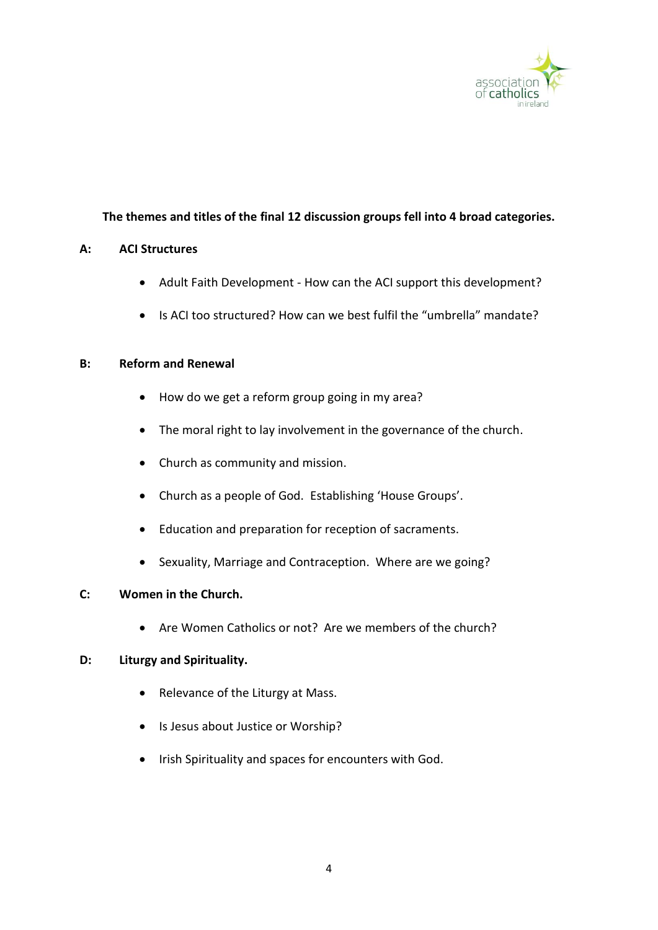

# **The themes and titles of the final 12 discussion groups fell into 4 broad categories.**

# **A: ACI Structures**

- Adult Faith Development How can the ACI support this development?
- Is ACI too structured? How can we best fulfil the "umbrella" mandate?

### **B: Reform and Renewal**

- How do we get a reform group going in my area?
- The moral right to lay involvement in the governance of the church.
- Church as community and mission.
- Church as a people of God. Establishing 'House Groups'.
- Education and preparation for reception of sacraments.
- Sexuality, Marriage and Contraception. Where are we going?

# **C: Women in the Church.**

Are Women Catholics or not? Are we members of the church?

### **D: Liturgy and Spirituality.**

- Relevance of the Liturgy at Mass.
- Is Jesus about Justice or Worship?
- Irish Spirituality and spaces for encounters with God.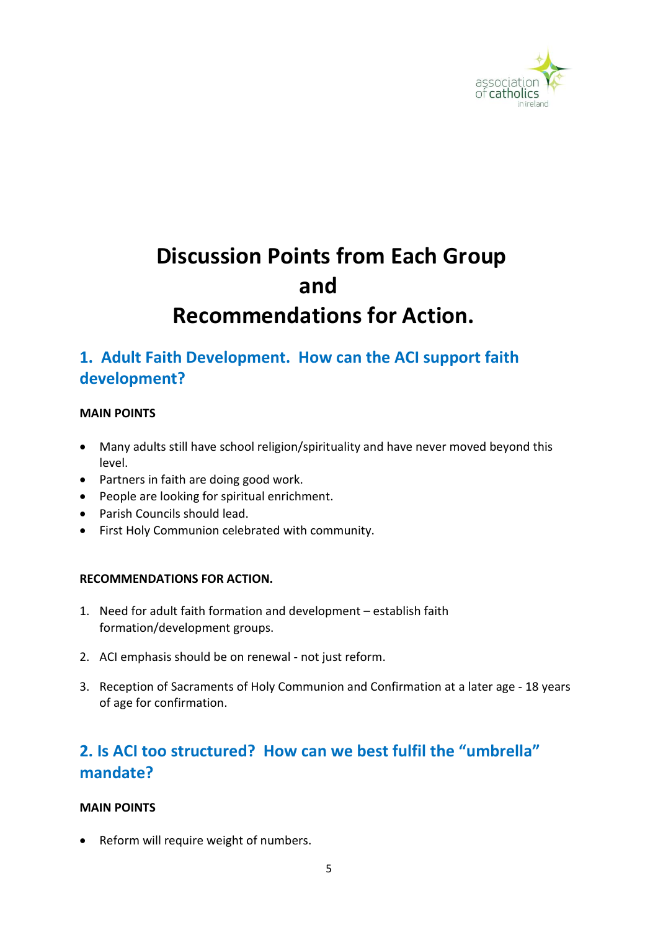

# **Discussion Points from Each Group and and Recommendations for Action.**

# **1. Adult Faith Development. How can the ACI support faith development?**

# **MAIN POINTS**

- Many adults still have school religion/spirituality and have never moved beyond this level.
- Partners in faith are doing good work.
- People are looking for spiritual enrichment.
- Parish Councils should lead.
- First Holy Communion celebrated with community.

### **RECOMMENDATIONS FOR ACTION.**

- 1. Need for adult faith formation and development establish faith formation/development groups.
- 2. ACI emphasis should be on renewal not just reform.
- 3. Reception of Sacraments of Holy Communion and Confirmation at a later age 18 years of age for confirmation.

# **2. Is ACI too structured? How can we best fulfil the "umbrella" mandate?**

### **MAIN POINTS**

• Reform will require weight of numbers.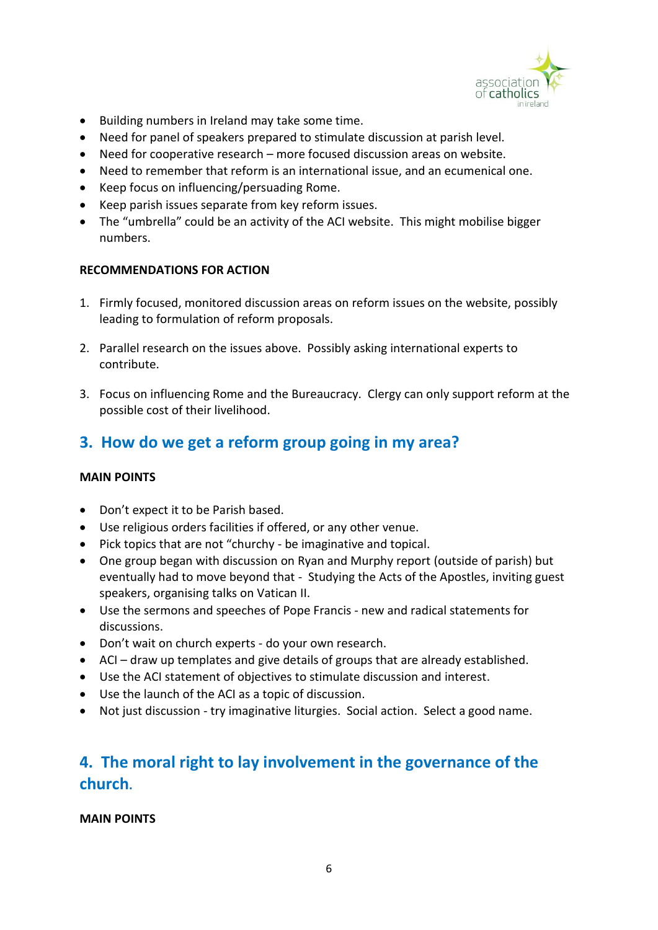

- Building numbers in Ireland may take some time.
- Need for panel of speakers prepared to stimulate discussion at parish level.
- Need for cooperative research more focused discussion areas on website.
- Need to remember that reform is an international issue, and an ecumenical one.
- Keep focus on influencing/persuading Rome.
- Keep parish issues separate from key reform issues.
- The "umbrella" could be an activity of the ACI website. This might mobilise bigger numbers.

- 1. Firmly focused, monitored discussion areas on reform issues on the website, possibly leading to formulation of reform proposals.
- 2. Parallel research on the issues above. Possibly asking international experts to contribute.
- 3. Focus on influencing Rome and the Bureaucracy. Clergy can only support reform at the possible cost of their livelihood.

# **3. How do we get a reform group going in my area?**

### **MAIN POINTS**

- Don't expect it to be Parish based.
- Use religious orders facilities if offered, or any other venue.
- Pick topics that are not "churchy be imaginative and topical.
- One group began with discussion on Ryan and Murphy report (outside of parish) but eventually had to move beyond that - Studying the Acts of the Apostles, inviting guest speakers, organising talks on Vatican II.
- Use the sermons and speeches of Pope Francis new and radical statements for discussions.
- Don't wait on church experts do your own research.
- ACI draw up templates and give details of groups that are already established.
- Use the ACI statement of objectives to stimulate discussion and interest.
- Use the launch of the ACI as a topic of discussion.
- Not just discussion try imaginative liturgies. Social action. Select a good name.

# **4. The moral right to lay involvement in the governance of the church.**

### **MAIN POINTS**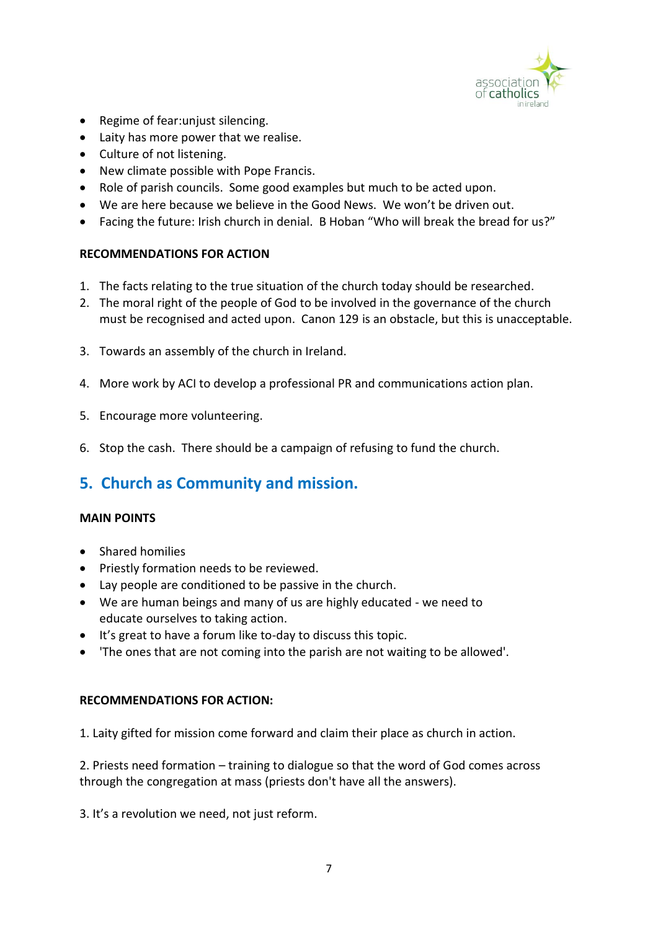

- Regime of fear: uniust silencing.
- Laity has more power that we realise.
- Culture of not listening.
- New climate possible with Pope Francis.
- Role of parish councils. Some good examples but much to be acted upon.
- We are here because we believe in the Good News. We won't be driven out.
- Facing the future: Irish church in denial. B Hoban "Who will break the bread for us?"

- 1. The facts relating to the true situation of the church today should be researched.
- 2. The moral right of the people of God to be involved in the governance of the church must be recognised and acted upon. Canon 129 is an obstacle, but this is unacceptable.
- 3. Towards an assembly of the church in Ireland.
- 4. More work by ACI to develop a professional PR and communications action plan.
- 5. Encourage more volunteering.
- 6. Stop the cash. There should be a campaign of refusing to fund the church.

# **5. Church as Community and mission.**

### **MAIN POINTS**

- Shared homilies
- Priestly formation needs to be reviewed.
- Lay people are conditioned to be passive in the church.
- We are human beings and many of us are highly educated we need to educate ourselves to taking action.
- It's great to have a forum like to-day to discuss this topic.
- 'The ones that are not coming into the parish are not waiting to be allowed'.

### **RECOMMENDATIONS FOR ACTION:**

1. Laity gifted for mission come forward and claim their place as church in action.

2. Priests need formation – training to dialogue so that the word of God comes across through the congregation at mass (priests don't have all the answers).

3. It's a revolution we need, not just reform.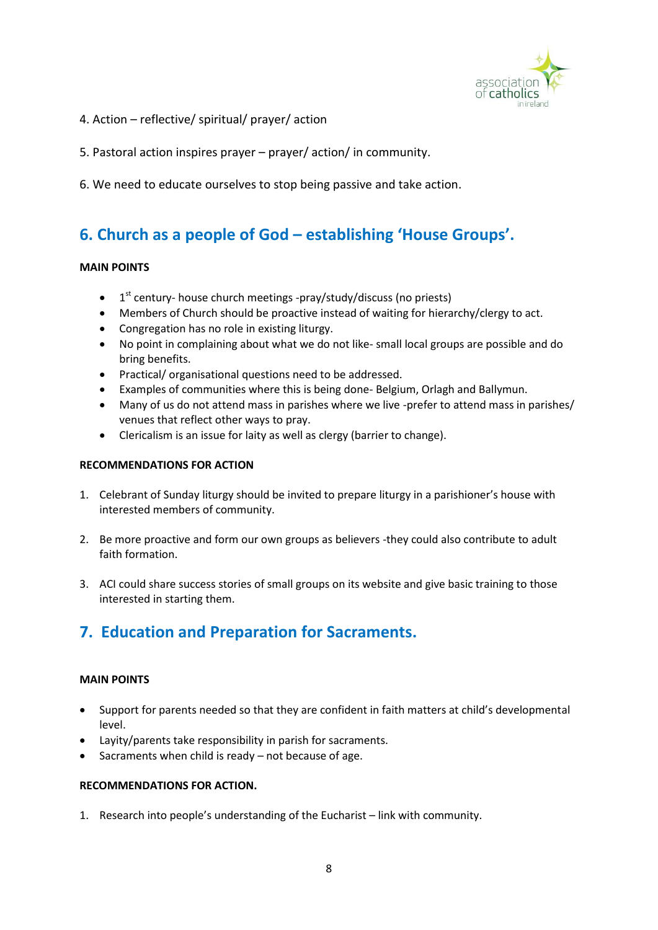

- 4. Action reflective/ spiritual/ prayer/ action
- 5. Pastoral action inspires prayer prayer/ action/ in community.
- 6. We need to educate ourselves to stop being passive and take action.

# **6. Church as a people of God – establishing 'House Groups'.**

### **MAIN POINTS**

- $\bullet$  1<sup>st</sup> century- house church meetings -pray/study/discuss (no priests)
- Members of Church should be proactive instead of waiting for hierarchy/clergy to act.
- Congregation has no role in existing liturgy.
- No point in complaining about what we do not like- small local groups are possible and do bring benefits.
- Practical/ organisational questions need to be addressed.
- Examples of communities where this is being done- Belgium, Orlagh and Ballymun.
- Many of us do not attend mass in parishes where we live -prefer to attend mass in parishes/ venues that reflect other ways to pray.
- Clericalism is an issue for laity as well as clergy (barrier to change).

### **RECOMMENDATIONS FOR ACTION**

- 1. Celebrant of Sunday liturgy should be invited to prepare liturgy in a parishioner's house with interested members of community.
- 2. Be more proactive and form our own groups as believers -they could also contribute to adult faith formation.
- 3. ACI could share success stories of small groups on its website and give basic training to those interested in starting them.

# **7. Education and Preparation for Sacraments.**

#### **MAIN POINTS**

- Support for parents needed so that they are confident in faith matters at child's developmental level.
- Layity/parents take responsibility in parish for sacraments.
- Sacraments when child is ready not because of age.

#### **RECOMMENDATIONS FOR ACTION.**

1. Research into people's understanding of the Eucharist – link with community.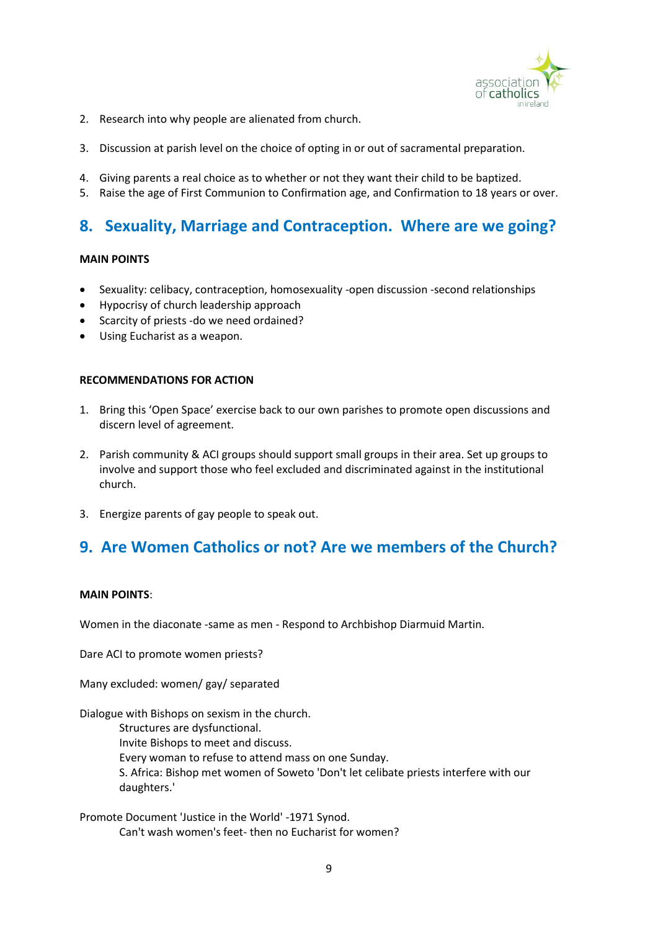

- 2. Research into why people are alienated from church.
- 3. Discussion at parish level on the choice of opting in or out of sacramental preparation.
- 4. Giving parents a real choice as to whether or not they want their child to be baptized.
- 5. Raise the age of First Communion to Confirmation age, and Confirmation to 18 years or over.

# **8. Sexuality, Marriage and Contraception. Where are we going?**

#### **MAIN POINTS**

- Sexuality: celibacy, contraception, homosexuality -open discussion -second relationships
- Hypocrisy of church leadership approach
- Scarcity of priests -do we need ordained?
- Using Eucharist as a weapon.

#### **RECOMMENDATIONS FOR ACTION**

- 1. Bring this 'Open Space' exercise back to our own parishes to promote open discussions and discern level of agreement.
- 2. Parish community & ACI groups should support small groups in their area. Set up groups to involve and support those who feel excluded and discriminated against in the institutional church.
- 3. Energize parents of gay people to speak out.

# **9. Are Women Catholics or not? Are we members of the Church?**

#### **MAIN POINTS**:

Women in the diaconate -same as men - Respond to Archbishop Diarmuid Martin.

Dare ACI to promote women priests?

Many excluded: women/ gay/ separated

Dialogue with Bishops on sexism in the church.

Structures are dysfunctional. Invite Bishops to meet and discuss. Every woman to refuse to attend mass on one Sunday. S. Africa: Bishop met women of Soweto 'Don't let celibate priests interfere with our daughters.'

Promote Document 'Justice in the World' -1971 Synod. Can't wash women's feet- then no Eucharist for women?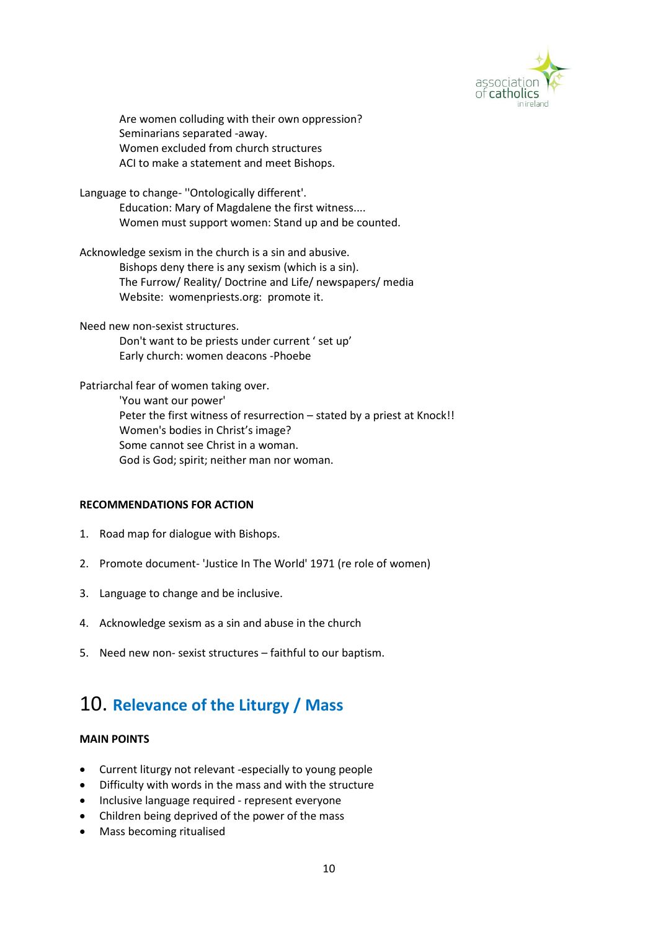

Are women colluding with their own oppression? Seminarians separated -away. Women excluded from church structures ACI to make a statement and meet Bishops.

Language to change- ''Ontologically different'. Education: Mary of Magdalene the first witness.... Women must support women: Stand up and be counted.

Acknowledge sexism in the church is a sin and abusive. Bishops deny there is any sexism (which is a sin). The Furrow/ Reality/ Doctrine and Life/ newspapers/ media Website: womenpriests.org: promote it.

Need new non-sexist structures. Don't want to be priests under current ' set up' Early church: women deacons -Phoebe

Patriarchal fear of women taking over. 'You want our power' Peter the first witness of resurrection – stated by a priest at Knock!! Women's bodies in Christ's image? Some cannot see Christ in a woman. God is God; spirit; neither man nor woman.

#### **RECOMMENDATIONS FOR ACTION**

- 1. Road map for dialogue with Bishops.
- 2. Promote document- 'Justice In The World' 1971 (re role of women)
- 3. Language to change and be inclusive.
- 4. Acknowledge sexism as a sin and abuse in the church
- 5. Need new non- sexist structures faithful to our baptism.

# 10. **Relevance of the Liturgy / Mass**

#### **MAIN POINTS**

- Current liturgy not relevant -especially to young people
- Difficulty with words in the mass and with the structure
- Inclusive language required represent everyone
- Children being deprived of the power of the mass
- Mass becoming ritualised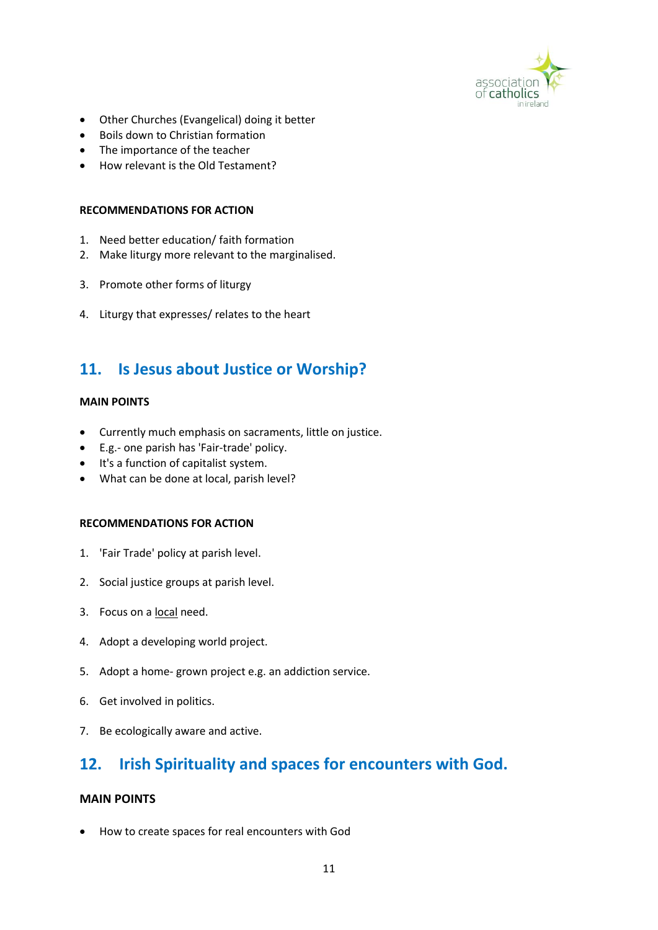

- Other Churches (Evangelical) doing it better
- Boils down to Christian formation
- The importance of the teacher
- How relevant is the Old Testament?

- 1. Need better education/ faith formation
- 2. Make liturgy more relevant to the marginalised.
- 3. Promote other forms of liturgy
- 4. Liturgy that expresses/ relates to the heart

# **11. Is Jesus about Justice or Worship?**

#### **MAIN POINTS**

- Currently much emphasis on sacraments, little on justice.
- E.g.- one parish has 'Fair-trade' policy.
- It's a function of capitalist system.
- What can be done at local, parish level?

#### **RECOMMENDATIONS FOR ACTION**

- 1. 'Fair Trade' policy at parish level.
- 2. Social justice groups at parish level.
- 3. Focus on a local need.
- 4. Adopt a developing world project.
- 5. Adopt a home- grown project e.g. an addiction service.
- 6. Get involved in politics.
- 7. Be ecologically aware and active.

# **12. Irish Spirituality and spaces for encounters with God.**

### **MAIN POINTS**

How to create spaces for real encounters with God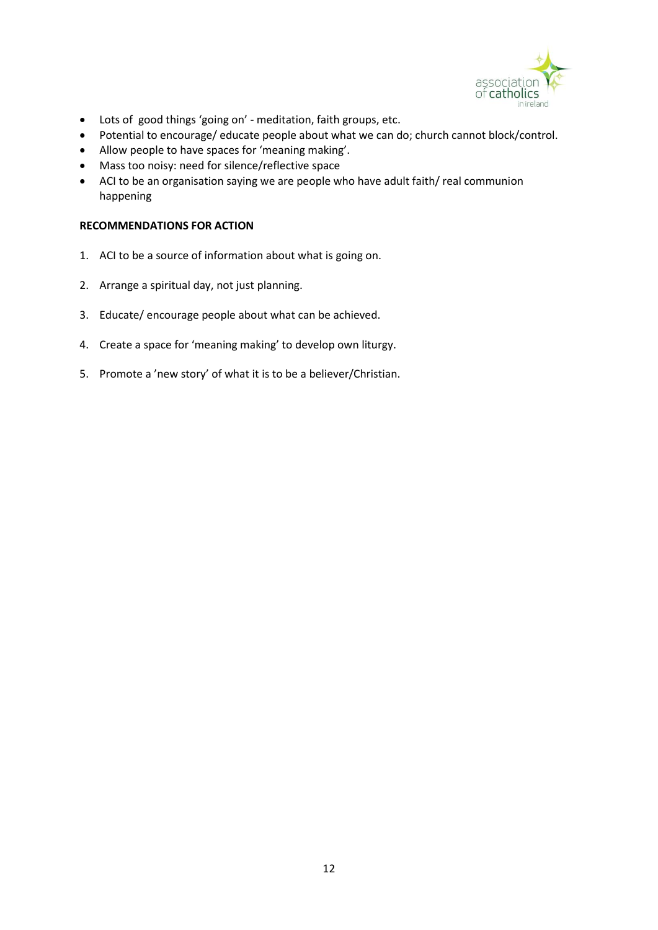

- Lots of good things 'going on' meditation, faith groups, etc.
- Potential to encourage/ educate people about what we can do; church cannot block/control.
- Allow people to have spaces for 'meaning making'.
- Mass too noisy: need for silence/reflective space
- ACI to be an organisation saying we are people who have adult faith/ real communion happening

- 1. ACI to be a source of information about what is going on.
- 2. Arrange a spiritual day, not just planning.
- 3. Educate/ encourage people about what can be achieved.
- 4. Create a space for 'meaning making' to develop own liturgy.
- 5. Promote a 'new story' of what it is to be a believer/Christian.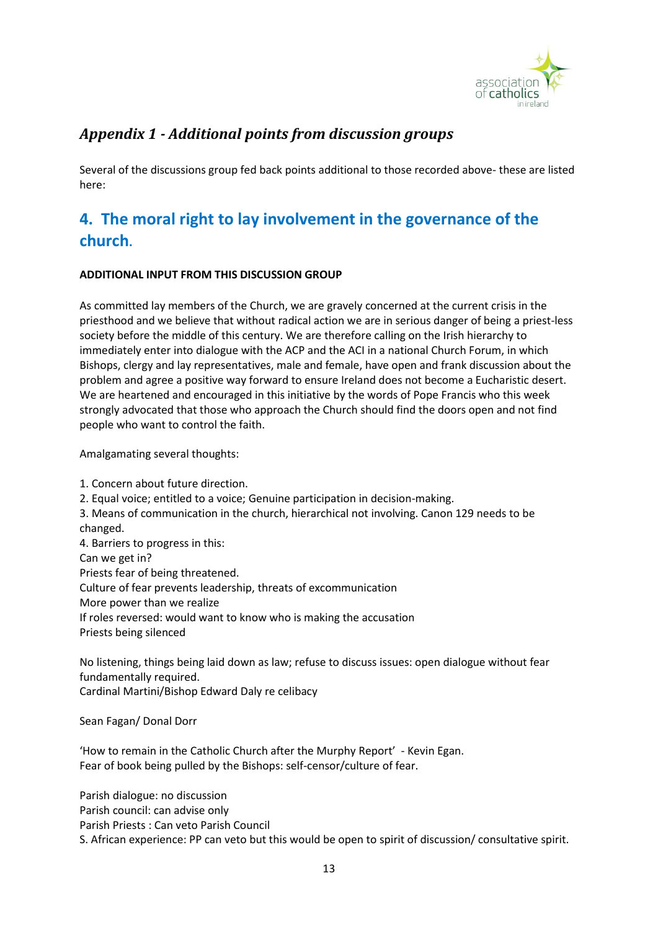

# *Appendix 1 - Additional points from discussion groups*

Several of the discussions group fed back points additional to those recorded above- these are listed here:

# **4. The moral right to lay involvement in the governance of the church.**

### **ADDITIONAL INPUT FROM THIS DISCUSSION GROUP**

As committed lay members of the Church, we are gravely concerned at the current crisis in the priesthood and we believe that without radical action we are in serious danger of being a priest-less society before the middle of this century. We are therefore calling on the Irish hierarchy to immediately enter into dialogue with the ACP and the ACI in a national Church Forum, in which Bishops, clergy and lay representatives, male and female, have open and frank discussion about the problem and agree a positive way forward to ensure Ireland does not become a Eucharistic desert. We are heartened and encouraged in this initiative by the words of Pope Francis who this week strongly advocated that those who approach the Church should find the doors open and not find people who want to control the faith.

Amalgamating several thoughts:

1. Concern about future direction. 2. Equal voice; entitled to a voice; Genuine participation in decision-making. 3. Means of communication in the church, hierarchical not involving. Canon 129 needs to be changed. 4. Barriers to progress in this: Can we get in? Priests fear of being threatened. Culture of fear prevents leadership, threats of excommunication More power than we realize If roles reversed: would want to know who is making the accusation Priests being silenced No listening, things being laid down as law; refuse to discuss issues: open dialogue without fear

fundamentally required. Cardinal Martini/Bishop Edward Daly re celibacy

Sean Fagan/ Donal Dorr

'How to remain in the Catholic Church after the Murphy Report' - Kevin Egan. Fear of book being pulled by the Bishops: self-censor/culture of fear.

Parish dialogue: no discussion Parish council: can advise only Parish Priests : Can veto Parish Council S. African experience: PP can veto but this would be open to spirit of discussion/ consultative spirit.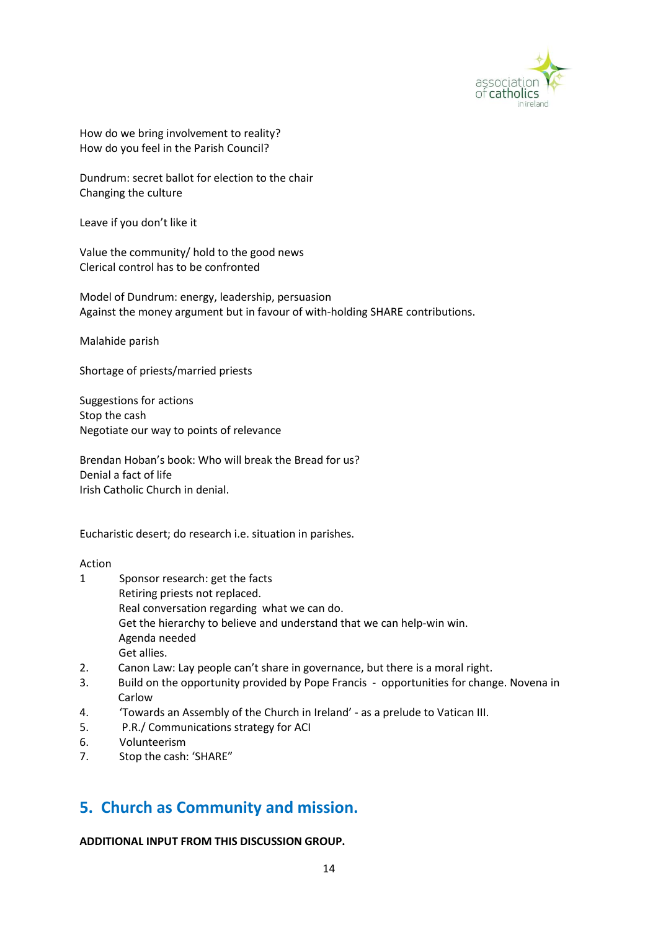

How do we bring involvement to reality? How do you feel in the Parish Council?

Dundrum: secret ballot for election to the chair Changing the culture

Leave if you don't like it

Value the community/ hold to the good news Clerical control has to be confronted

Model of Dundrum: energy, leadership, persuasion Against the money argument but in favour of with-holding SHARE contributions.

Malahide parish

Shortage of priests/married priests

Suggestions for actions Stop the cash Negotiate our way to points of relevance

Brendan Hoban's book: Who will break the Bread for us? Denial a fact of life Irish Catholic Church in denial.

Eucharistic desert; do research i.e. situation in parishes.

#### Action

- 1 Sponsor research: get the facts Retiring priests not replaced. Real conversation regarding what we can do. Get the hierarchy to believe and understand that we can help-win win. Agenda needed Get allies.
- 2. Canon Law: Lay people can't share in governance, but there is a moral right.
- 3. Build on the opportunity provided by Pope Francis opportunities for change. Novena in Carlow
- 4. 'Towards an Assembly of the Church in Ireland' as a prelude to Vatican III.
- 5. P.R./ Communications strategy for ACI
- 6. Volunteerism
- 7. Stop the cash: 'SHARE"

# **5. Church as Community and mission.**

**ADDITIONAL INPUT FROM THIS DISCUSSION GROUP.**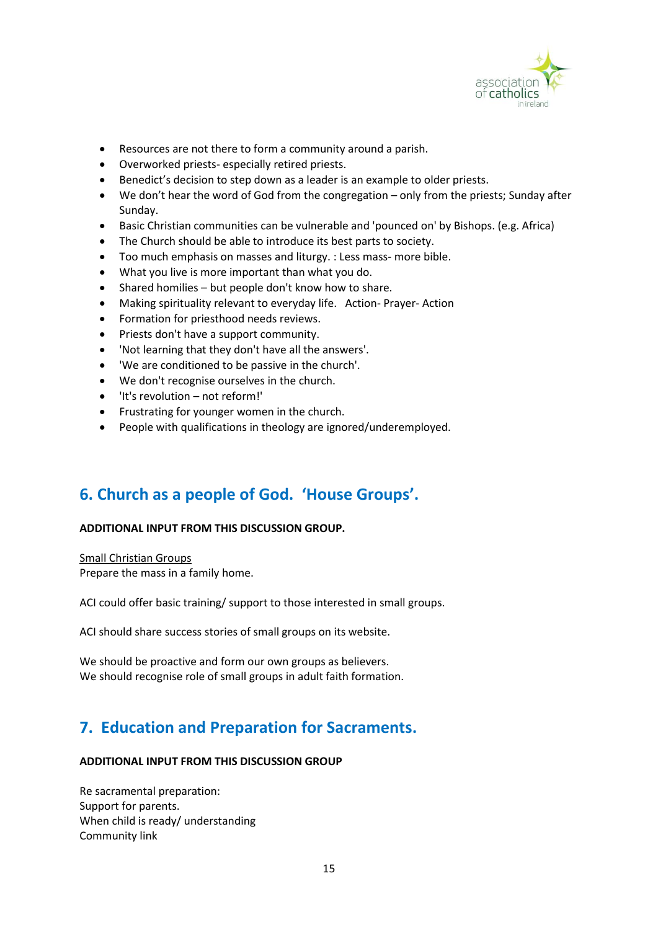

- Resources are not there to form a community around a parish.
- Overworked priests- especially retired priests.
- Benedict's decision to step down as a leader is an example to older priests.
- We don't hear the word of God from the congregation only from the priests; Sunday after Sunday.
- Basic Christian communities can be vulnerable and 'pounced on' by Bishops. (e.g. Africa)
- The Church should be able to introduce its best parts to society.
- Too much emphasis on masses and liturgy. : Less mass- more bible.
- What you live is more important than what you do.
- Shared homilies but people don't know how to share.
- Making spirituality relevant to everyday life. Action- Prayer- Action
- Formation for priesthood needs reviews.
- Priests don't have a support community.
- 'Not learning that they don't have all the answers'.
- 'We are conditioned to be passive in the church'.
- We don't recognise ourselves in the church.
- 'It's revolution not reform!'
- Frustrating for younger women in the church.
- People with qualifications in theology are ignored/underemployed.

# **6. Church as a people of God. 'House Groups'.**

#### **ADDITIONAL INPUT FROM THIS DISCUSSION GROUP.**

Small Christian Groups

Prepare the mass in a family home.

ACI could offer basic training/ support to those interested in small groups.

ACI should share success stories of small groups on its website.

We should be proactive and form our own groups as believers. We should recognise role of small groups in adult faith formation.

# **7. Education and Preparation for Sacraments.**

#### **ADDITIONAL INPUT FROM THIS DISCUSSION GROUP**

Re sacramental preparation: Support for parents. When child is ready/ understanding Community link